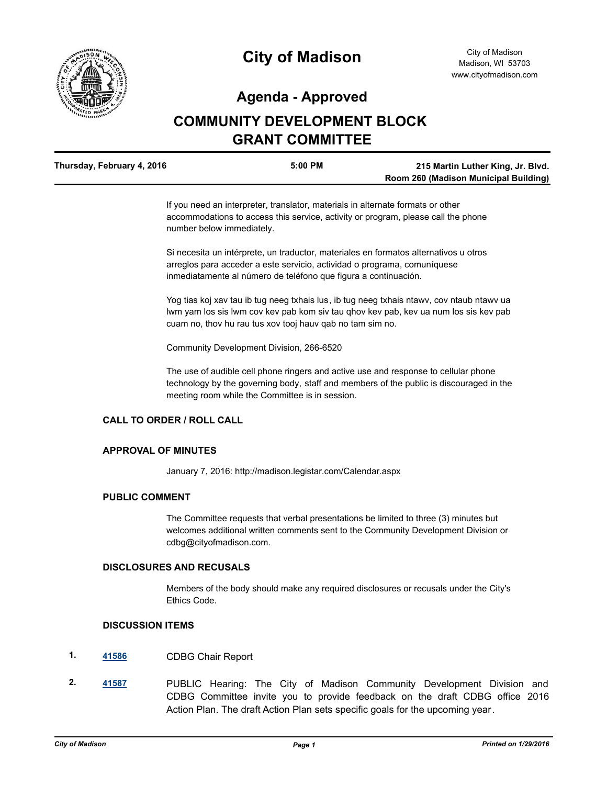

# **City of Madison**

# **Agenda - Approved**

# **COMMUNITY DEVELOPMENT BLOCK GRANT COMMITTEE**

| Thursday, February 4, 2016 | 5:00 PM | 215 Martin Luther King, Jr. Blvd.     |
|----------------------------|---------|---------------------------------------|
|                            |         | Room 260 (Madison Municipal Building) |

If you need an interpreter, translator, materials in alternate formats or other accommodations to access this service, activity or program, please call the phone number below immediately.

Si necesita un intérprete, un traductor, materiales en formatos alternativos u otros arreglos para acceder a este servicio, actividad o programa, comuníquese inmediatamente al número de teléfono que figura a continuación.

Yog tias koj xav tau ib tug neeg txhais lus, ib tug neeg txhais ntawv, cov ntaub ntawv ua lwm yam los sis lwm cov kev pab kom siv tau qhov kev pab, kev ua num los sis kev pab cuam no, thov hu rau tus xov tooj hauv qab no tam sim no.

Community Development Division, 266-6520

The use of audible cell phone ringers and active use and response to cellular phone technology by the governing body, staff and members of the public is discouraged in the meeting room while the Committee is in session.

## **CALL TO ORDER / ROLL CALL**

#### **APPROVAL OF MINUTES**

January 7, 2016: http://madison.legistar.com/Calendar.aspx

## **PUBLIC COMMENT**

The Committee requests that verbal presentations be limited to three (3) minutes but welcomes additional written comments sent to the Community Development Division or cdbg@cityofmadison.com.

## **DISCLOSURES AND RECUSALS**

Members of the body should make any required disclosures or recusals under the City's Ethics Code.

#### **DISCUSSION ITEMS**

- **1. [41586](http://madison.legistar.com/gateway.aspx?m=l&id=/matter.aspx?key=45976)** CDBG Chair Report
- **2. [41587](http://madison.legistar.com/gateway.aspx?m=l&id=/matter.aspx?key=45977)** PUBLIC Hearing: The City of Madison Community Development Division and CDBG Committee invite you to provide feedback on the draft CDBG office 2016 Action Plan. The draft Action Plan sets specific goals for the upcoming year.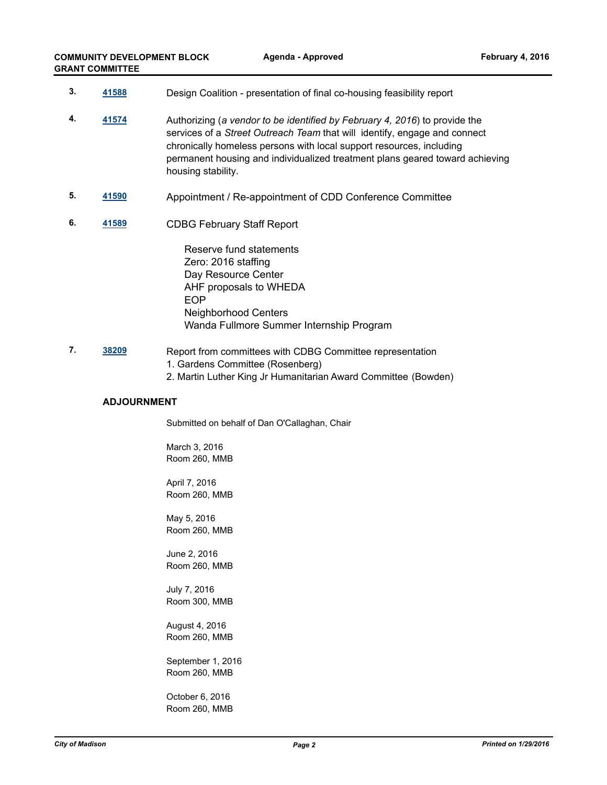| 3. | 41588 | Design Coalition - presentation of final co-housing feasibility report                                                                                                                                                                                                                                                                |
|----|-------|---------------------------------------------------------------------------------------------------------------------------------------------------------------------------------------------------------------------------------------------------------------------------------------------------------------------------------------|
| 4. | 41574 | Authorizing (a vendor to be identified by February 4, 2016) to provide the<br>services of a Street Outreach Team that will identify, engage and connect<br>chronically homeless persons with local support resources, including<br>permanent housing and individualized treatment plans geared toward achieving<br>housing stability. |
| 5. | 41590 | Appointment / Re-appointment of CDD Conference Committee                                                                                                                                                                                                                                                                              |
| 6. | 41589 | <b>CDBG February Staff Report</b>                                                                                                                                                                                                                                                                                                     |
|    |       | Reserve fund statements<br>Zero: 2016 staffing<br>Day Resource Center<br>AHF proposals to WHEDA<br><b>EOP</b><br><b>Neighborhood Centers</b><br>Wanda Fullmore Summer Internship Program                                                                                                                                              |

**7. [38209](http://madison.legistar.com/gateway.aspx?m=l&id=/matter.aspx?key=40923)** Report from committees with CDBG Committee representation 1. Gardens Committee (Rosenberg) 2. Martin Luther King Jr Humanitarian Award Committee (Bowden)

#### **ADJOURNMENT**

Submitted on behalf of Dan O'Callaghan, Chair

March 3, 2016 Room 260, MMB

April 7, 2016 Room 260, MMB

May 5, 2016 Room 260, MMB

June 2, 2016 Room 260, MMB

July 7, 2016 Room 300, MMB

August 4, 2016 Room 260, MMB

September 1, 2016 Room 260, MMB

October 6, 2016 Room 260, MMB